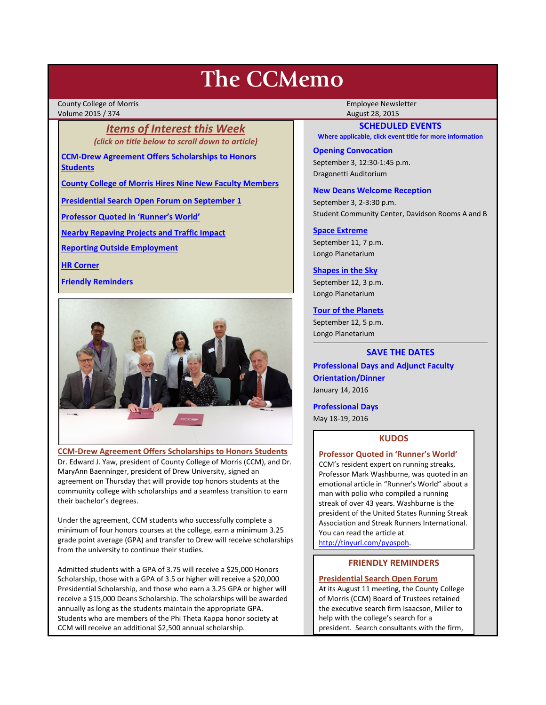# **The CCMemo**

County College of Morris **Employee Newsletter** Employee Newsletter Volume 2015 / 374 August 28, 2015

> *Items of Interest this Week (click on title below to scroll down to article)*

**[CCM-Drew Agreement Offers Scholarships to Honors](#page-0-0)  [Students](#page-0-0)**

**[County College of Morris Hires Nine New Faculty Members](#page-1-0)**

**[Presidential Search Open Forum on September 1](#page-0-1)**

**[Professor Quoted in 'Runner's World'](#page-0-2)**

**[Nearby Repaving Projects and Traffic Impact](#page-1-1)**

**[Reporting Outside Employment](#page-2-0)**

**[HR Corner](#page-2-1)**

**[Friendly Reminders](#page-0-3)**



<span id="page-0-0"></span>**CCM-Drew Agreement Offers Scholarships to Honors Students** Dr. Edward J. Yaw, president of County College of Morris (CCM), and Dr. MaryAnn Baenninger, president of Drew University, signed an agreement on Thursday that will provide top honors students at the community college with scholarships and a seamless transition to earn their bachelor's degrees.

Under the agreement, CCM students who successfully complete a minimum of four honors courses at the college, earn a minimum 3.25 grade point average (GPA) and transfer to Drew will receive scholarships from the university to continue their studies.

Admitted students with a GPA of 3.75 will receive a \$25,000 Honors Scholarship, those with a GPA of 3.5 or higher will receive a \$20,000 Presidential Scholarship, and those who earn a 3.25 GPA or higher will receive a \$15,000 Deans Scholarship. The scholarships will be awarded annually as long as the students maintain the appropriate GPA. Students who are members of the Phi Theta Kappa honor society at CCM will receive an additional \$2,500 annual scholarship.

# **SCHEDULED EVENTS**

**Where applicable, click event title for more information**

# **Opening Convocation**

September 3, 12:30-1:45 p.m. Dragonetti Auditorium

### **New Deans Welcome Reception**

September 3, 2-3:30 p.m. Student Community Center, Davidson Rooms A and B

#### **[Space Extreme](http://www.ccm.edu/newsEvents/eventDetails.aspx?Channel=/Channels/Sitewide&WorkflowItemID=1874a4b0-0bcb-4ed1-a29e-7b4f8d25e45d)**

September 11, 7 p.m. Longo Planetarium

## **[Shapes in the Sky](http://www.ccm.edu/newsEvents/eventDetails.aspx?Channel=/Channels/Sitewide&WorkflowItemID=1922c928-86d3-4e75-b6a2-fd618033989c)**

September 12, 3 p.m. Longo Planetarium

# **[Tour of the Planets](http://www.ccm.edu/newsEvents/eventDetails.aspx?Channel=/Channels/Sitewide&WorkflowItemID=5834aa20-68ba-4fa2-a3ac-75b2311ba441)**

September 12, 5 p.m. Longo Planetarium

# **SAVE THE DATES**

**Professional Days and Adjunct Faculty Orientation/Dinner** January 14, 2016

**Professional Days**

May 18-19, 2016

# **KUDOS**

#### <span id="page-0-2"></span>**Professor Quoted in 'Runner's World'**

CCM's resident expert on running streaks, Professor Mark Washburne, was quoted in an emotional article in "Runner's World" about a man with polio who compiled a running streak of over 43 years. Washburne is the president of the United States Running Streak Association and Streak Runners International. You can read the article at

<span id="page-0-3"></span>[http://tinyurl.com/pypspoh.](http://tinyurl.com/pypspoh)

# **FRIENDLY REMINDERS**

<span id="page-0-1"></span>**Presidential Search Open Forum** At its August 11 meeting, the County College of Morris (CCM) Board of Trustees retained the executive search firm Isaacson, Miller to help with the college's search for a president. Search consultants with the firm,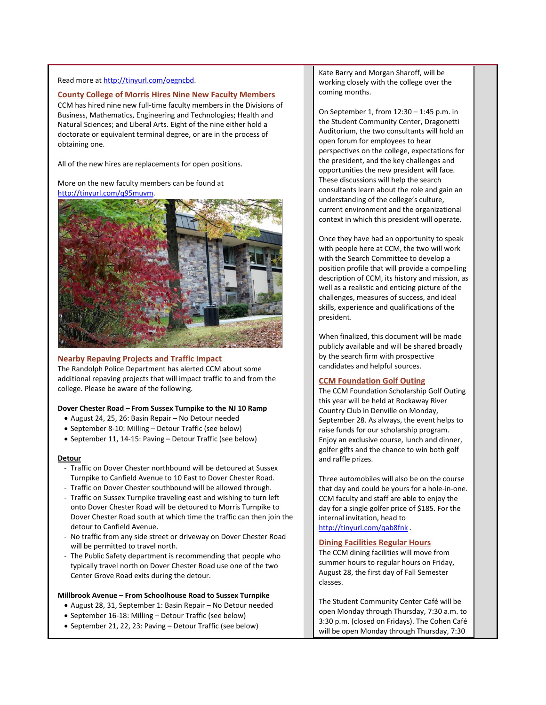#### Read more a[t http://tinyurl.com/oegncbd.](http://tinyurl.com/oegncbd)

#### <span id="page-1-0"></span>**County College of Morris Hires Nine New Faculty Members**

CCM has hired nine new full-time faculty members in the Divisions of Business, Mathematics, Engineering and Technologies; Health and Natural Sciences; and Liberal Arts. Eight of the nine either hold a doctorate or equivalent terminal degree, or are in the process of obtaining one.

All of the new hires are replacements for open positions.

More on the new faculty members can be found at [http://tinyurl.com/q95muvm.](http://tinyurl.com/q95muvm)



#### <span id="page-1-1"></span>**Nearby Repaving Projects and Traffic Impact**

The Randolph Police Department has alerted CCM about some additional repaving projects that will impact traffic to and from the college. Please be aware of the following.

### **Dover Chester Road – From Sussex Turnpike to the NJ 10 Ramp**

- August 24, 25, 26: Basin Repair No Detour needed
- September 8-10: Milling Detour Traffic (see below)
- September 11, 14-15: Paving Detour Traffic (see below)

#### **Detour**

- Traffic on Dover Chester northbound will be detoured at Sussex Turnpike to Canfield Avenue to 10 East to Dover Chester Road.
- Traffic on Dover Chester southbound will be allowed through.
- Traffic on Sussex Turnpike traveling east and wishing to turn left onto Dover Chester Road will be detoured to Morris Turnpike to Dover Chester Road south at which time the traffic can then join the detour to Canfield Avenue.
- No traffic from any side street or driveway on Dover Chester Road will be permitted to travel north.
- The Public Safety department is recommending that people who typically travel north on Dover Chester Road use one of the two Center Grove Road exits during the detour.

#### **Millbrook Avenue – From Schoolhouse Road to Sussex Turnpike**

- August 28, 31, September 1: Basin Repair No Detour needed
- September 16-18: Milling Detour Traffic (see below)
- September 21, 22, 23: Paving Detour Traffic (see below)

Kate Barry and Morgan Sharoff, will be working closely with the college over the coming months.

On September 1, from 12:30 – 1:45 p.m. in the Student Community Center, Dragonetti Auditorium, the two consultants will hold an open forum for employees to hear perspectives on the college, expectations for the president, and the key challenges and opportunities the new president will face. These discussions will help the search consultants learn about the role and gain an understanding of the college's culture, current environment and the organizational context in which this president will operate.

Once they have had an opportunity to speak with people here at CCM, the two will work with the Search Committee to develop a position profile that will provide a compelling description of CCM, its history and mission, as well as a realistic and enticing picture of the challenges, measures of success, and ideal skills, experience and qualifications of the president.

When finalized, this document will be made publicly available and will be shared broadly by the search firm with prospective candidates and helpful sources.

#### **CCM Foundation Golf Outing**

The CCM Foundation Scholarship Golf Outing this year will be held at Rockaway River Country Club in Denville on Monday, September 28. As always, the event helps to raise funds for our scholarship program. Enjoy an exclusive course, lunch and dinner, golfer gifts and the chance to win both golf and raffle prizes.

Three automobiles will also be on the course that day and could be yours for a hole-in-one. CCM faculty and staff are able to enjoy the day for a single golfer price of \$185. For the internal invitation, head to <http://tinyurl.com/qab8fnk> .

#### **Dining Facilities Regular Hours**

The CCM dining facilities will move from summer hours to regular hours on Friday, August 28, the first day of Fall Semester classes.

The Student Community Center Café will be open Monday through Thursday, 7:30 a.m. to 3:30 p.m. (closed on Fridays). The Cohen Café will be open Monday through Thursday, 7:30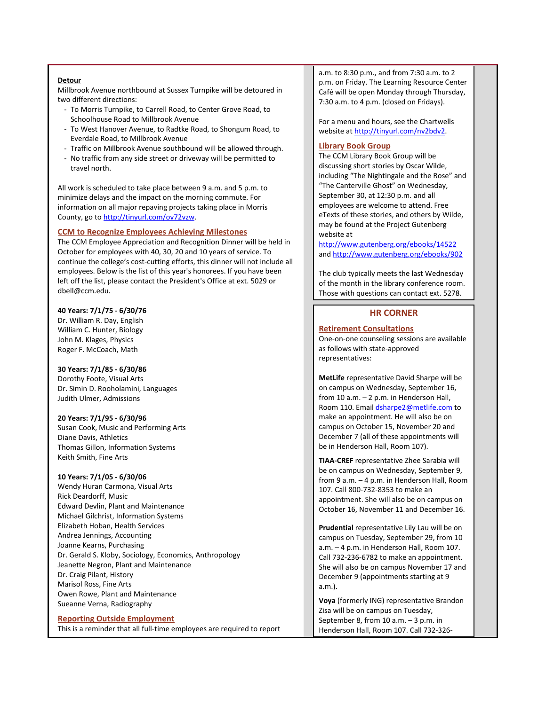#### **Detour**

Millbrook Avenue northbound at Sussex Turnpike will be detoured in two different directions:

- To Morris Turnpike, to Carrell Road, to Center Grove Road, to Schoolhouse Road to Millbrook Avenue
- To West Hanover Avenue, to Radtke Road, to Shongum Road, to Everdale Road, to Millbrook Avenue
- Traffic on Millbrook Avenue southbound will be allowed through.
- No traffic from any side street or driveway will be permitted to travel north.

All work is scheduled to take place between 9 a.m. and 5 p.m. to minimize delays and the impact on the morning commute. For information on all major repaving projects taking place in Morris County, go to [http://tinyurl.com/ov72vzw.](http://tinyurl.com/ov72vzw)

#### **CCM to Recognize Employees Achieving Milestones**

The CCM Employee Appreciation and Recognition Dinner will be held in October for employees with 40, 30, 20 and 10 years of service. To continue the college's cost-cutting efforts, this dinner will not include all employees. Below is the list of this year's honorees. If you have been left off the list, please contact the President's Office at ext. 5029 or dbell@ccm.edu.

# **40 Years: 7/1/75 - 6/30/76**

Dr. William R. Day, English William C. Hunter, Biology John M. Klages, Physics Roger F. McCoach, Math

# **30 Years: 7/1/85 - 6/30/86**

Dorothy Foote, Visual Arts Dr. Simin D. Rooholamini, Languages Judith Ulmer, Admissions

#### **20 Years: 7/1/95 - 6/30/96**

Susan Cook, Music and Performing Arts Diane Davis, Athletics Thomas Gillon, Information Systems Keith Smith, Fine Arts

#### **10 Years: 7/1/05 - 6/30/06**

Wendy Huran Carmona, Visual Arts Rick Deardorff, Music Edward Devlin, Plant and Maintenance Michael Gilchrist, Information Systems Elizabeth Hoban, Health Services Andrea Jennings, Accounting Joanne Kearns, Purchasing Dr. Gerald S. Kloby, Sociology, Economics, Anthropology Jeanette Negron, Plant and Maintenance Dr. Craig Pilant, History Marisol Ross, Fine Arts Owen Rowe, Plant and Maintenance Sueanne Verna, Radiography

# <span id="page-2-0"></span>**Reporting Outside Employment**

This is a reminder that all full-time employees are required to report

a.m. to 8:30 p.m., and from 7:30 a.m. to 2 p.m. on Friday. The Learning Resource Center Café will be open Monday through Thursday, 7:30 a.m. to 4 p.m. (closed on Fridays).

For a menu and hours, see the Chartwells website a[t http://tinyurl.com/nv2bdv2.](http://tinyurl.com/nv2bdv2)

# **Library Book Group**

The CCM Library Book Group will be discussing short stories by Oscar Wilde, including "The Nightingale and the Rose" and "The Canterville Ghost" on Wednesday, September 30, at 12:30 p.m. and all employees are welcome to attend. Free eTexts of these stories, and others by Wilde, may be found at the Project Gutenberg website at

<http://www.gutenberg.org/ebooks/14522> an[d http://www.gutenberg.org/ebooks/902](http://www.gutenberg.org/ebooks/902)

The club typically meets the last Wednesday of the month in the library conference room. Those with questions can contact ext. 5278.

# **HR CORNER**

# <span id="page-2-1"></span>**Retirement Consultations**

One-on-one counseling sessions are available as follows with state-approved representatives:

**MetLife** representative David Sharpe will be on campus on Wednesday, September 16, from 10 a.m. – 2 p.m. in Henderson Hall, Room 110. Emai[l dsharpe2@metlife.com](mailto:dsharpe2@metlife.com) to make an appointment. He will also be on campus on October 15, November 20 and December 7 (all of these appointments will be in Henderson Hall, Room 107).

**TIAA-CREF** representative Zhee Sarabia will be on campus on Wednesday, September 9, from 9 a.m. – 4 p.m. in Henderson Hall, Room 107. Call 800-732-8353 to make an appointment. She will also be on campus on October 16, November 11 and December 16.

**Prudential** representative Lily Lau will be on campus on Tuesday, September 29, from 10 a.m. – 4 p.m. in Henderson Hall, Room 107. Call 732-236-6782 to make an appointment. She will also be on campus November 17 and December 9 (appointments starting at 9 a.m.).

**Voya** (formerly ING) representative Brandon Zisa will be on campus on Tuesday, September 8, from 10 a.m. – 3 p.m. in Henderson Hall, Room 107. Call 732-326